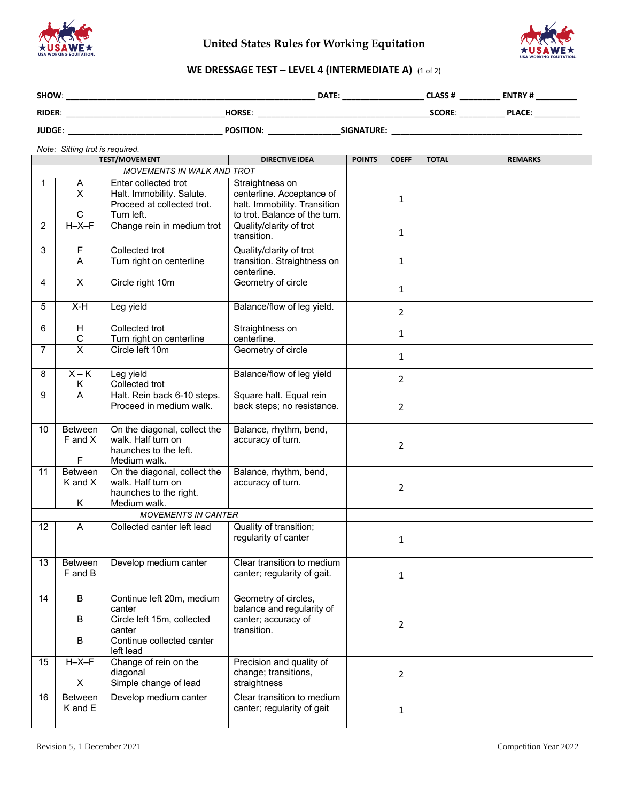

# **United States Rules for Working Equitation**



## **WE DRESSAGE TEST – LEVEL 4 (INTERMEDIATE A)** (1 of 2)

| SHOW:         |                  | DATE:             | <b>CLASS#</b> | <b>ENTRY#</b> |  |
|---------------|------------------|-------------------|---------------|---------------|--|
| <b>RIDER:</b> | <b>HORSE:</b>    |                   | <b>SCORE:</b> | <b>PLACE:</b> |  |
| <b>JUDGE:</b> | <b>POSITION:</b> | <b>SIGNATURE:</b> |               |               |  |

*Note: Sitting trot is required.*

|                |                            | <b>TEST/MOVEMENT</b>                                                                                                  | <b>DIRECTIVE IDEA</b>                                                                                         | <b>POINTS</b> | <b>COEFF</b>   | <b>TOTAL</b> | <b>REMARKS</b> |
|----------------|----------------------------|-----------------------------------------------------------------------------------------------------------------------|---------------------------------------------------------------------------------------------------------------|---------------|----------------|--------------|----------------|
|                | MOVEMENTS IN WALK AND TROT |                                                                                                                       |                                                                                                               |               |                |              |                |
| 1.             | A<br>X<br>C                | Enter collected trot<br>Halt. Immobility. Salute.<br>Proceed at collected trot.<br>Turn left.                         | Straightness on<br>centerline. Acceptance of<br>halt. Immobility. Transition<br>to trot. Balance of the turn. |               | 1              |              |                |
| $\overline{2}$ | $H - X - F$                | Change rein in medium trot                                                                                            | Quality/clarity of trot<br>transition.                                                                        |               | 1              |              |                |
| 3              | $\mathsf F$<br>A           | Collected trot<br>Turn right on centerline                                                                            | Quality/clarity of trot<br>transition. Straightness on<br>centerline.                                         |               | $\mathbf{1}$   |              |                |
| 4              | $\overline{\mathsf{x}}$    | Circle right 10m                                                                                                      | Geometry of circle                                                                                            |               | $\mathbf{1}$   |              |                |
| 5              | $X-H$                      | Leg yield                                                                                                             | Balance/flow of leg yield.                                                                                    |               | $\overline{2}$ |              |                |
| 6              | H<br>$\mathsf C$           | Collected trot<br>Turn right on centerline                                                                            | Straightness on<br>centerline.                                                                                |               | $\mathbf{1}$   |              |                |
| $\overline{7}$ | $\overline{\mathsf{x}}$    | Circle left 10m                                                                                                       | Geometry of circle                                                                                            |               | $\mathbf{1}$   |              |                |
| 8              | $X - K$<br>Κ               | Leg yield<br>Collected trot                                                                                           | Balance/flow of leg yield                                                                                     |               | $\overline{2}$ |              |                |
| 9              | $\overline{A}$             | Halt. Rein back 6-10 steps.<br>Proceed in medium walk.                                                                | Square halt. Equal rein<br>back steps; no resistance.                                                         |               | $\overline{2}$ |              |                |
| 10             | Between<br>F and X<br>F    | On the diagonal, collect the<br>walk. Half turn on<br>haunches to the left.<br>Medium walk.                           | Balance, rhythm, bend,<br>accuracy of turn.                                                                   |               | $\overline{2}$ |              |                |
| 11             | Between<br>K and X<br>Κ    | On the diagonal, collect the<br>walk. Half turn on<br>haunches to the right.<br>Medium walk.                          | Balance, rhythm, bend,<br>accuracy of turn.                                                                   |               | $\overline{2}$ |              |                |
|                |                            | <b>MOVEMENTS IN CANTER</b>                                                                                            |                                                                                                               |               |                |              |                |
| 12             | A                          | Collected canter left lead                                                                                            | Quality of transition;<br>regularity of canter                                                                |               | 1              |              |                |
| 13             | Between<br>F and B         | Develop medium canter                                                                                                 | Clear transition to medium<br>canter; regularity of gait.                                                     |               | $\mathbf{1}$   |              |                |
| 14             | B<br>в<br>B                | Continue left 20m, medium<br>canter<br>Circle left 15m, collected<br>canter<br>Continue collected canter<br>left lead | Geometry of circles,<br>balance and regularity of<br>canter; accuracy of<br>transition.                       |               | $\overline{2}$ |              |                |
| 15             | $H - X - F$<br>X           | Change of rein on the<br>diagonal<br>Simple change of lead                                                            | Precision and quality of<br>change; transitions,<br>straightness                                              |               | $\overline{2}$ |              |                |
| 16             | <b>Between</b><br>K and E  | Develop medium canter                                                                                                 | Clear transition to medium<br>canter; regularity of gait                                                      |               | 1              |              |                |